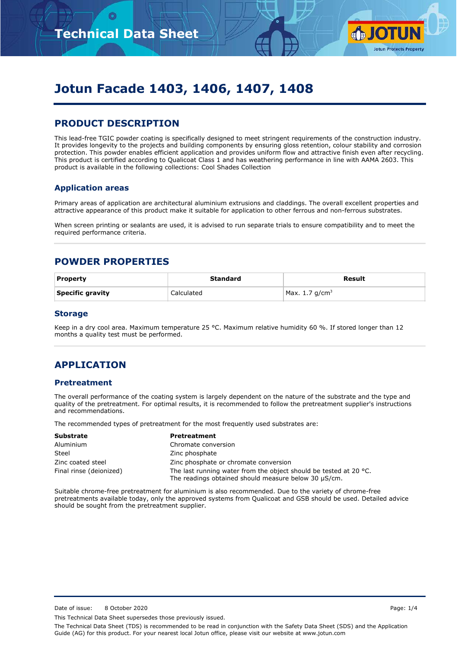

# **Jotun Facade 1403, 1406, 1407, 1408**

## **PRODUCT DESCRIPTION**

This lead-free TGIC powder coating is specifically designed to meet stringent requirements of the construction industry. It provides longevity to the projects and building components by ensuring gloss retention, colour stability and corrosion protection. This powder enables efficient application and provides uniform flow and attractive finish even after recycling. This product is certified according to Qualicoat Class 1 and has weathering performance in line with AAMA 2603. This product is available in the following collections: Cool Shades Collection

#### **Application areas**

Primary areas of application are architectural aluminium extrusions and claddings. The overall excellent properties and attractive appearance of this product make it suitable for application to other ferrous and non-ferrous substrates.

When screen printing or sealants are used, it is advised to run separate trials to ensure compatibility and to meet the required performance criteria.

### **POWDER PROPERTIES**

| <b>Property</b>  | Standard   | Result            |
|------------------|------------|-------------------|
| Specific gravity | Calculated | Max. 1.7 $q/cm^3$ |

#### **Storage**

Keep in a dry cool area. Maximum temperature 25 °C. Maximum relative humidity 60 %. If stored longer than 12 months a quality test must be performed.

## **APPLICATION**

#### **Pretreatment**

The overall performance of the coating system is largely dependent on the nature of the substrate and the type and quality of the pretreatment. For optimal results, it is recommended to follow the pretreatment supplier's instructions and recommendations.

The recommended types of pretreatment for the most frequently used substrates are:

| <b>Substrate</b>        | <b>Pretreatment</b>                                                                                                                 |  |
|-------------------------|-------------------------------------------------------------------------------------------------------------------------------------|--|
| Aluminium               | Chromate conversion                                                                                                                 |  |
| Steel                   | Zinc phosphate                                                                                                                      |  |
| Zinc coated steel       | Zinc phosphate or chromate conversion                                                                                               |  |
| Final rinse (deionized) | The last running water from the object should be tested at 20 $^{\circ}$ C.<br>The readings obtained should measure below 30 µS/cm. |  |

Suitable chrome-free pretreatment for aluminium is also recommended. Due to the variety of chrome-free pretreatments available today, only the approved systems from Qualicoat and GSB should be used. Detailed advice should be sought from the pretreatment supplier.

Date of issue: 8 October 2020 **Page: 1/4** 

This Technical Data Sheet supersedes those previously issued.

The Technical Data Sheet (TDS) is recommended to be read in conjunction with the Safety Data Sheet (SDS) and the Application Guide (AG) for this product. For your nearest local Jotun office, please visit our website at www.jotun.com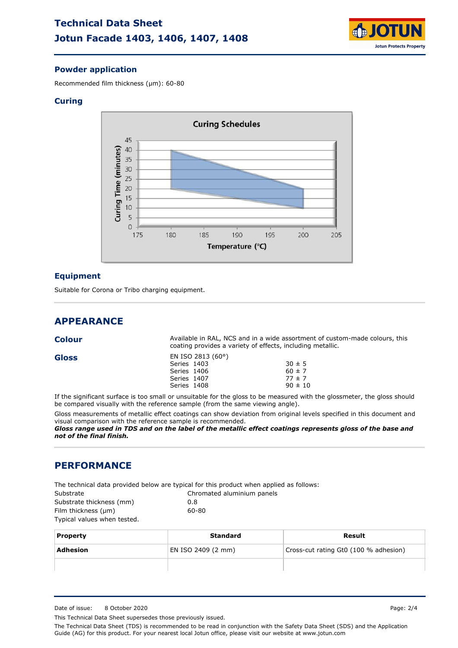

#### **Powder application**

Recommended film thickness (µm): 60-80

#### **Curing**



#### **Equipment**

Suitable for Corona or Tribo charging equipment.

### **APPEARANCE**

| Colour |                            | Available in RAL, NCS and in a wide assortment of custom-made colours, this<br>coating provides a variety of effects, including metallic. |
|--------|----------------------------|-------------------------------------------------------------------------------------------------------------------------------------------|
| Gloss  | EN ISO 2813 (60°)          | $30 \pm 5$                                                                                                                                |
|        | Series 1403<br>Series 1406 | $60 \pm 7$                                                                                                                                |
|        | Series 1407                | $77 \pm 7$                                                                                                                                |

If the significant surface is too small or unsuitable for the gloss to be measured with the glossmeter, the gloss should be compared visually with the reference sample (from the same viewing angle).

 $90 \pm 10$ 

Gloss measurements of metallic effect coatings can show deviation from original levels specified in this document and visual comparison with the reference sample is recommended.

*Gloss range used in TDS and on the label of the metallic effect coatings represents gloss of the base and not of the final finish.*

#### **PERFORMANCE**

The technical data provided below are typical for this product when applied as follows:

Series 1408

| Substrate                | Chromated aluminium panels |
|--------------------------|----------------------------|
| Substrate thickness (mm) | 0.8                        |
| Film thickness (µm)      | 60-80                      |

Typical values when tested.

| <b>Property</b> | Standard           | Result                                |
|-----------------|--------------------|---------------------------------------|
| Adhesion        | EN ISO 2409 (2 mm) | Cross-cut rating Gt0 (100 % adhesion) |
|                 |                    |                                       |

This Technical Data Sheet supersedes those previously issued.

The Technical Data Sheet (TDS) is recommended to be read in conjunction with the Safety Data Sheet (SDS) and the Application Guide (AG) for this product. For your nearest local Jotun office, please visit our website at www.jotun.com

Date of issue: 8 October 2020 Page: 2/4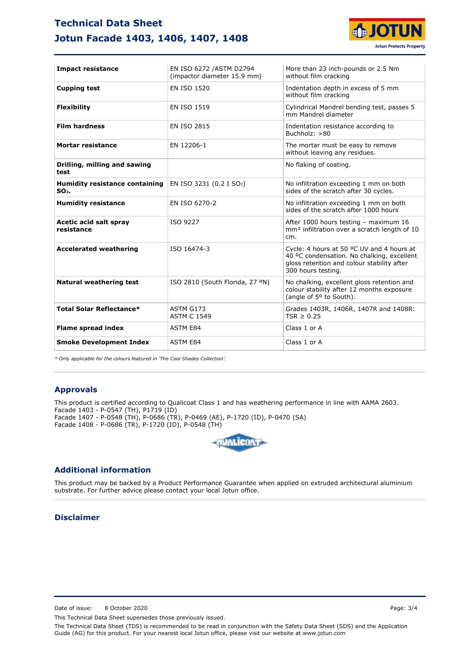## **Technical Data Sheet Jotun Facade 1403, 1406, 1407, 1408**



| <b>Impact resistance</b>                         | EN ISO 6272 / ASTM D2794<br>(impactor diameter 15.9 mm) | More than 23 inch-pounds or 2.5 Nm<br>without film cracking                                                                                                 |
|--------------------------------------------------|---------------------------------------------------------|-------------------------------------------------------------------------------------------------------------------------------------------------------------|
| <b>Cupping test</b>                              | <b>EN ISO 1520</b>                                      | Indentation depth in excess of 5 mm<br>without film cracking                                                                                                |
| <b>Flexibility</b>                               | <b>EN ISO 1519</b>                                      | Cylindrical Mandrel bending test, passes 5<br>mm Mandrel diameter                                                                                           |
| <b>Film hardness</b>                             | <b>EN ISO 2815</b>                                      | Indentation resistance according to<br>Buchholz: >80                                                                                                        |
| <b>Mortar resistance</b>                         | EN 12206-1                                              | The mortar must be easy to remove<br>without leaving any residues.                                                                                          |
| Drilling, milling and sawing<br>test             |                                                         | No flaking of coating.                                                                                                                                      |
| <b>Humidity resistance containing</b><br>$SO2$ . | EN ISO 3231 (0.2 I SO <sub>2</sub> )                    | No infiltration exceeding 1 mm on both<br>sides of the scratch after 30 cycles.                                                                             |
| <b>Humidity resistance</b>                       | EN ISO 6270-2                                           | No infiltration exceeding 1 mm on both<br>sides of the scratch after 1000 hours                                                                             |
| Acetic acid salt spray<br>resistance             | ISO 9227                                                | After 1000 hours testing - maximum 16<br>mm <sup>2</sup> infiltration over a scratch length of 10<br>cm.                                                    |
| <b>Accelerated weathering</b>                    | ISO 16474-3                                             | Cycle: 4 hours at 50 °C UV and 4 hours at<br>40 °C condensation. No chalking, excellent<br>gloss retention and colour stability after<br>300 hours testing. |
| <b>Natural weathering test</b>                   | ISO 2810 (South Florida, 27 °N)                         | No chalking, excellent gloss retention and<br>colour stability after 12 months exposure<br>(angle of 5° to South).                                          |
| <b>Total Solar Reflectance*</b>                  | ASTM G173<br><b>ASTM C 1549</b>                         | Grades 1403R, 1406R, 1407R and 1408R:<br>$TSR \geq 0.25$                                                                                                    |
| <b>Flame spread index</b>                        | <b>ASTM E84</b>                                         | Class 1 or A                                                                                                                                                |
| <b>Smoke Development Index</b>                   | <b>ASTM E84</b>                                         | Class 1 or A                                                                                                                                                |

*\* Only applicable for the colours featured in 'The Cool Shades Collection'.*

#### **Approvals**

This product is certified according to Qualicoat Class 1 and has weathering performance in line with AAMA 2603. Facade 1403 - P-0547 (TH), P1719 (ID) Facade 1407 - P-0548 (TH), P-0686 (TR), P-0469 (AE), P-1720 (ID), P-0470 (SA) Facade 1408 - P-0686 (TR), P-1720 (ID), P-0548 (TH)



#### **Additional information**

This product may be backed by a Product Performance Guarantee when applied on extruded architectural aluminium substrate. For further advice please contact your local Jotun office.

#### **Disclaimer**

Date of issue: 8 October 2020 **Page: 3/4** 

This Technical Data Sheet supersedes those previously issued.

The Technical Data Sheet (TDS) is recommended to be read in conjunction with the Safety Data Sheet (SDS) and the Application Guide (AG) for this product. For your nearest local Jotun office, please visit our website at www.jotun.com